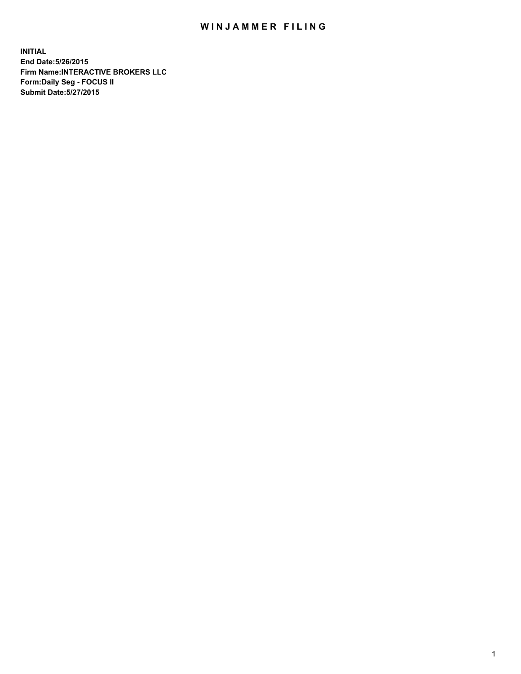## WIN JAMMER FILING

**INITIAL End Date:5/26/2015 Firm Name:INTERACTIVE BROKERS LLC Form:Daily Seg - FOCUS II Submit Date:5/27/2015**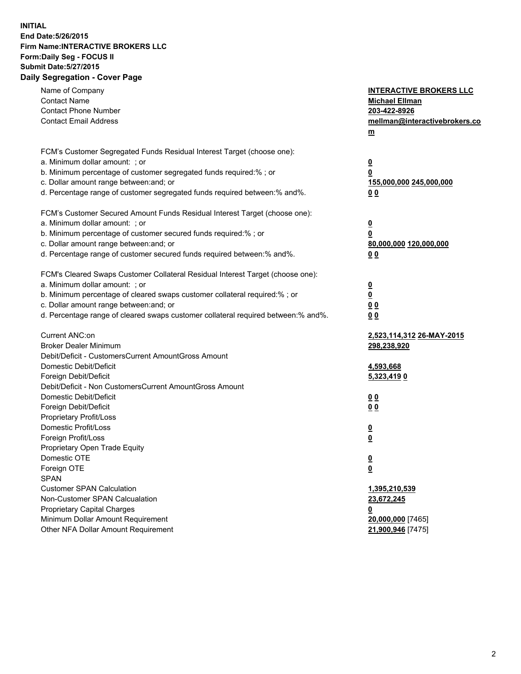## **INITIAL End Date:5/26/2015 Firm Name:INTERACTIVE BROKERS LLC Form:Daily Seg - FOCUS II Submit Date:5/27/2015 Daily Segregation - Cover Page**

| Name of Company<br><b>Contact Name</b><br><b>Contact Phone Number</b><br><b>Contact Email Address</b>    | <b>INTERACTIVE BROKERS LLC</b><br><b>Michael Ellman</b><br>203-422-8926<br>mellman@interactivebrokers.co<br>$m$ |
|----------------------------------------------------------------------------------------------------------|-----------------------------------------------------------------------------------------------------------------|
| FCM's Customer Segregated Funds Residual Interest Target (choose one):<br>a. Minimum dollar amount: ; or | $\overline{\mathbf{0}}$                                                                                         |
| b. Minimum percentage of customer segregated funds required:% ; or                                       | 0                                                                                                               |
| c. Dollar amount range between: and; or                                                                  | 155,000,000 245,000,000                                                                                         |
| d. Percentage range of customer segregated funds required between:% and%.                                | 0 <sub>0</sub>                                                                                                  |
| FCM's Customer Secured Amount Funds Residual Interest Target (choose one):                               |                                                                                                                 |
| a. Minimum dollar amount: ; or                                                                           | $\overline{\mathbf{0}}$                                                                                         |
| b. Minimum percentage of customer secured funds required:% ; or                                          | 0                                                                                                               |
| c. Dollar amount range between: and; or                                                                  | 80,000,000 120,000,000                                                                                          |
| d. Percentage range of customer secured funds required between:% and%.                                   | 0 <sub>0</sub>                                                                                                  |
| FCM's Cleared Swaps Customer Collateral Residual Interest Target (choose one):                           |                                                                                                                 |
| a. Minimum dollar amount: ; or                                                                           | $\overline{\mathbf{0}}$                                                                                         |
| b. Minimum percentage of cleared swaps customer collateral required:% ; or                               | $\overline{\mathbf{0}}$                                                                                         |
| c. Dollar amount range between: and; or                                                                  | 0 <sub>0</sub>                                                                                                  |
| d. Percentage range of cleared swaps customer collateral required between:% and%.                        | 0 <sub>0</sub>                                                                                                  |
| Current ANC:on                                                                                           | <u>2,523,114,312 26-MAY-2015</u>                                                                                |
| <b>Broker Dealer Minimum</b>                                                                             | 298,238,920                                                                                                     |
| Debit/Deficit - CustomersCurrent AmountGross Amount                                                      |                                                                                                                 |
| Domestic Debit/Deficit                                                                                   | 4,593,668                                                                                                       |
| Foreign Debit/Deficit                                                                                    | 5,323,4190                                                                                                      |
| Debit/Deficit - Non CustomersCurrent AmountGross Amount                                                  |                                                                                                                 |
| Domestic Debit/Deficit                                                                                   | 0 <sub>0</sub>                                                                                                  |
| Foreign Debit/Deficit                                                                                    | 0 <sub>0</sub>                                                                                                  |
| Proprietary Profit/Loss                                                                                  |                                                                                                                 |
| Domestic Profit/Loss<br>Foreign Profit/Loss                                                              | $\overline{\mathbf{0}}$                                                                                         |
| Proprietary Open Trade Equity                                                                            | $\underline{\mathbf{0}}$                                                                                        |
| Domestic OTE                                                                                             | <u>0</u>                                                                                                        |
| Foreign OTE                                                                                              |                                                                                                                 |
| <b>SPAN</b>                                                                                              | <u>0</u>                                                                                                        |
| <b>Customer SPAN Calculation</b>                                                                         | 1,395,210,539                                                                                                   |
| Non-Customer SPAN Calcualation                                                                           | 23,672,245                                                                                                      |
| Proprietary Capital Charges                                                                              | <u>0</u>                                                                                                        |
| Minimum Dollar Amount Requirement                                                                        | 20,000,000 [7465]                                                                                               |
| Other NFA Dollar Amount Requirement                                                                      | 21,900,946 [7475]                                                                                               |
|                                                                                                          |                                                                                                                 |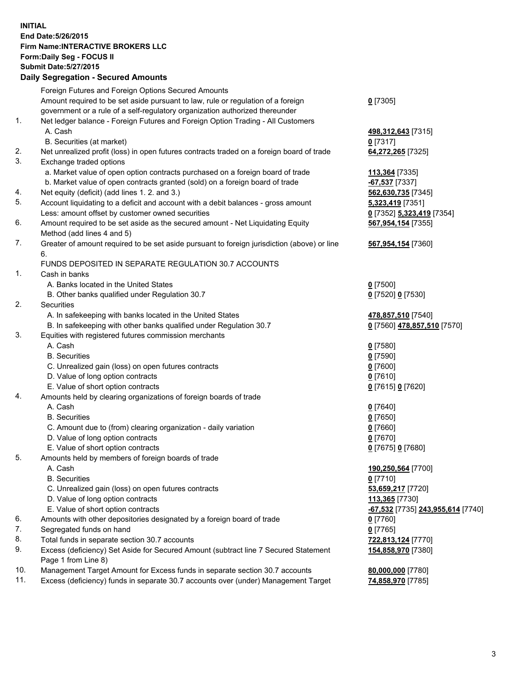## **INITIAL End Date:5/26/2015 Firm Name:INTERACTIVE BROKERS LLC Form:Daily Seg - FOCUS II Submit Date:5/27/2015 Daily Segregation - Secured Amounts**

| Foreign Futures and Foreign Options Secured Amounts                                         |                                                                                                                                                                                                                                                                                                                                                                                                                                                                                                                                                                                                                                                                                                                                                                                                                                                                                                                                                                                                                                                                                                                                                                                                                                                                                        |
|---------------------------------------------------------------------------------------------|----------------------------------------------------------------------------------------------------------------------------------------------------------------------------------------------------------------------------------------------------------------------------------------------------------------------------------------------------------------------------------------------------------------------------------------------------------------------------------------------------------------------------------------------------------------------------------------------------------------------------------------------------------------------------------------------------------------------------------------------------------------------------------------------------------------------------------------------------------------------------------------------------------------------------------------------------------------------------------------------------------------------------------------------------------------------------------------------------------------------------------------------------------------------------------------------------------------------------------------------------------------------------------------|
| Amount required to be set aside pursuant to law, rule or regulation of a foreign            | $0$ [7305]                                                                                                                                                                                                                                                                                                                                                                                                                                                                                                                                                                                                                                                                                                                                                                                                                                                                                                                                                                                                                                                                                                                                                                                                                                                                             |
|                                                                                             |                                                                                                                                                                                                                                                                                                                                                                                                                                                                                                                                                                                                                                                                                                                                                                                                                                                                                                                                                                                                                                                                                                                                                                                                                                                                                        |
| Net ledger balance - Foreign Futures and Foreign Option Trading - All Customers             |                                                                                                                                                                                                                                                                                                                                                                                                                                                                                                                                                                                                                                                                                                                                                                                                                                                                                                                                                                                                                                                                                                                                                                                                                                                                                        |
| A. Cash                                                                                     | 498,312,643 [7315]                                                                                                                                                                                                                                                                                                                                                                                                                                                                                                                                                                                                                                                                                                                                                                                                                                                                                                                                                                                                                                                                                                                                                                                                                                                                     |
| B. Securities (at market)                                                                   | $0$ [7317]                                                                                                                                                                                                                                                                                                                                                                                                                                                                                                                                                                                                                                                                                                                                                                                                                                                                                                                                                                                                                                                                                                                                                                                                                                                                             |
| Net unrealized profit (loss) in open futures contracts traded on a foreign board of trade   | 64,272,265 [7325]                                                                                                                                                                                                                                                                                                                                                                                                                                                                                                                                                                                                                                                                                                                                                                                                                                                                                                                                                                                                                                                                                                                                                                                                                                                                      |
| Exchange traded options                                                                     |                                                                                                                                                                                                                                                                                                                                                                                                                                                                                                                                                                                                                                                                                                                                                                                                                                                                                                                                                                                                                                                                                                                                                                                                                                                                                        |
| a. Market value of open option contracts purchased on a foreign board of trade              | 113,364 [7335]                                                                                                                                                                                                                                                                                                                                                                                                                                                                                                                                                                                                                                                                                                                                                                                                                                                                                                                                                                                                                                                                                                                                                                                                                                                                         |
| b. Market value of open contracts granted (sold) on a foreign board of trade                | $-67,537$ [7337]                                                                                                                                                                                                                                                                                                                                                                                                                                                                                                                                                                                                                                                                                                                                                                                                                                                                                                                                                                                                                                                                                                                                                                                                                                                                       |
| Net equity (deficit) (add lines 1.2. and 3.)                                                | 562,630,735 [7345]                                                                                                                                                                                                                                                                                                                                                                                                                                                                                                                                                                                                                                                                                                                                                                                                                                                                                                                                                                                                                                                                                                                                                                                                                                                                     |
| Account liquidating to a deficit and account with a debit balances - gross amount           | 5,323,419 [7351]                                                                                                                                                                                                                                                                                                                                                                                                                                                                                                                                                                                                                                                                                                                                                                                                                                                                                                                                                                                                                                                                                                                                                                                                                                                                       |
| Less: amount offset by customer owned securities                                            | 0 [7352] 5,323,419 [7354]                                                                                                                                                                                                                                                                                                                                                                                                                                                                                                                                                                                                                                                                                                                                                                                                                                                                                                                                                                                                                                                                                                                                                                                                                                                              |
| Amount required to be set aside as the secured amount - Net Liquidating Equity              | 567,954,154 [7355]                                                                                                                                                                                                                                                                                                                                                                                                                                                                                                                                                                                                                                                                                                                                                                                                                                                                                                                                                                                                                                                                                                                                                                                                                                                                     |
| Method (add lines 4 and 5)                                                                  |                                                                                                                                                                                                                                                                                                                                                                                                                                                                                                                                                                                                                                                                                                                                                                                                                                                                                                                                                                                                                                                                                                                                                                                                                                                                                        |
| Greater of amount required to be set aside pursuant to foreign jurisdiction (above) or line | 567,954,154 [7360]                                                                                                                                                                                                                                                                                                                                                                                                                                                                                                                                                                                                                                                                                                                                                                                                                                                                                                                                                                                                                                                                                                                                                                                                                                                                     |
| 6.                                                                                          |                                                                                                                                                                                                                                                                                                                                                                                                                                                                                                                                                                                                                                                                                                                                                                                                                                                                                                                                                                                                                                                                                                                                                                                                                                                                                        |
|                                                                                             |                                                                                                                                                                                                                                                                                                                                                                                                                                                                                                                                                                                                                                                                                                                                                                                                                                                                                                                                                                                                                                                                                                                                                                                                                                                                                        |
| Cash in banks                                                                               |                                                                                                                                                                                                                                                                                                                                                                                                                                                                                                                                                                                                                                                                                                                                                                                                                                                                                                                                                                                                                                                                                                                                                                                                                                                                                        |
| A. Banks located in the United States                                                       | $0$ [7500]                                                                                                                                                                                                                                                                                                                                                                                                                                                                                                                                                                                                                                                                                                                                                                                                                                                                                                                                                                                                                                                                                                                                                                                                                                                                             |
|                                                                                             | 0 [7520] 0 [7530]                                                                                                                                                                                                                                                                                                                                                                                                                                                                                                                                                                                                                                                                                                                                                                                                                                                                                                                                                                                                                                                                                                                                                                                                                                                                      |
| Securities                                                                                  |                                                                                                                                                                                                                                                                                                                                                                                                                                                                                                                                                                                                                                                                                                                                                                                                                                                                                                                                                                                                                                                                                                                                                                                                                                                                                        |
|                                                                                             | 478,857,510 [7540]                                                                                                                                                                                                                                                                                                                                                                                                                                                                                                                                                                                                                                                                                                                                                                                                                                                                                                                                                                                                                                                                                                                                                                                                                                                                     |
|                                                                                             | 0 [7560] 478,857,510 [7570]                                                                                                                                                                                                                                                                                                                                                                                                                                                                                                                                                                                                                                                                                                                                                                                                                                                                                                                                                                                                                                                                                                                                                                                                                                                            |
|                                                                                             |                                                                                                                                                                                                                                                                                                                                                                                                                                                                                                                                                                                                                                                                                                                                                                                                                                                                                                                                                                                                                                                                                                                                                                                                                                                                                        |
|                                                                                             | $0$ [7580]                                                                                                                                                                                                                                                                                                                                                                                                                                                                                                                                                                                                                                                                                                                                                                                                                                                                                                                                                                                                                                                                                                                                                                                                                                                                             |
|                                                                                             | $0$ [7590]                                                                                                                                                                                                                                                                                                                                                                                                                                                                                                                                                                                                                                                                                                                                                                                                                                                                                                                                                                                                                                                                                                                                                                                                                                                                             |
|                                                                                             | $0$ [7600]                                                                                                                                                                                                                                                                                                                                                                                                                                                                                                                                                                                                                                                                                                                                                                                                                                                                                                                                                                                                                                                                                                                                                                                                                                                                             |
|                                                                                             | $0$ [7610]                                                                                                                                                                                                                                                                                                                                                                                                                                                                                                                                                                                                                                                                                                                                                                                                                                                                                                                                                                                                                                                                                                                                                                                                                                                                             |
|                                                                                             | 0 [7615] 0 [7620]                                                                                                                                                                                                                                                                                                                                                                                                                                                                                                                                                                                                                                                                                                                                                                                                                                                                                                                                                                                                                                                                                                                                                                                                                                                                      |
|                                                                                             |                                                                                                                                                                                                                                                                                                                                                                                                                                                                                                                                                                                                                                                                                                                                                                                                                                                                                                                                                                                                                                                                                                                                                                                                                                                                                        |
|                                                                                             | $0$ [7640]                                                                                                                                                                                                                                                                                                                                                                                                                                                                                                                                                                                                                                                                                                                                                                                                                                                                                                                                                                                                                                                                                                                                                                                                                                                                             |
|                                                                                             | $0$ [7650]                                                                                                                                                                                                                                                                                                                                                                                                                                                                                                                                                                                                                                                                                                                                                                                                                                                                                                                                                                                                                                                                                                                                                                                                                                                                             |
|                                                                                             | $0$ [7660]                                                                                                                                                                                                                                                                                                                                                                                                                                                                                                                                                                                                                                                                                                                                                                                                                                                                                                                                                                                                                                                                                                                                                                                                                                                                             |
|                                                                                             | $0$ [7670]                                                                                                                                                                                                                                                                                                                                                                                                                                                                                                                                                                                                                                                                                                                                                                                                                                                                                                                                                                                                                                                                                                                                                                                                                                                                             |
|                                                                                             | 0 [7675] 0 [7680]                                                                                                                                                                                                                                                                                                                                                                                                                                                                                                                                                                                                                                                                                                                                                                                                                                                                                                                                                                                                                                                                                                                                                                                                                                                                      |
|                                                                                             |                                                                                                                                                                                                                                                                                                                                                                                                                                                                                                                                                                                                                                                                                                                                                                                                                                                                                                                                                                                                                                                                                                                                                                                                                                                                                        |
|                                                                                             | 190,250,564 [7700]                                                                                                                                                                                                                                                                                                                                                                                                                                                                                                                                                                                                                                                                                                                                                                                                                                                                                                                                                                                                                                                                                                                                                                                                                                                                     |
|                                                                                             | $0$ [7710]                                                                                                                                                                                                                                                                                                                                                                                                                                                                                                                                                                                                                                                                                                                                                                                                                                                                                                                                                                                                                                                                                                                                                                                                                                                                             |
|                                                                                             | 53,659,217 [7720]                                                                                                                                                                                                                                                                                                                                                                                                                                                                                                                                                                                                                                                                                                                                                                                                                                                                                                                                                                                                                                                                                                                                                                                                                                                                      |
|                                                                                             | 113,365 [7730]                                                                                                                                                                                                                                                                                                                                                                                                                                                                                                                                                                                                                                                                                                                                                                                                                                                                                                                                                                                                                                                                                                                                                                                                                                                                         |
|                                                                                             | 67,532 [7735] 243,955,614 [7740]                                                                                                                                                                                                                                                                                                                                                                                                                                                                                                                                                                                                                                                                                                                                                                                                                                                                                                                                                                                                                                                                                                                                                                                                                                                       |
|                                                                                             | $0$ [7760]                                                                                                                                                                                                                                                                                                                                                                                                                                                                                                                                                                                                                                                                                                                                                                                                                                                                                                                                                                                                                                                                                                                                                                                                                                                                             |
|                                                                                             | $0$ [7765]                                                                                                                                                                                                                                                                                                                                                                                                                                                                                                                                                                                                                                                                                                                                                                                                                                                                                                                                                                                                                                                                                                                                                                                                                                                                             |
|                                                                                             | 722,813,124 [7770]                                                                                                                                                                                                                                                                                                                                                                                                                                                                                                                                                                                                                                                                                                                                                                                                                                                                                                                                                                                                                                                                                                                                                                                                                                                                     |
| Page 1 from Line 8)                                                                         | 154,858,970 [7380]                                                                                                                                                                                                                                                                                                                                                                                                                                                                                                                                                                                                                                                                                                                                                                                                                                                                                                                                                                                                                                                                                                                                                                                                                                                                     |
| Management Target Amount for Excess funds in separate section 30.7 accounts                 | 80,000,000 [7780]                                                                                                                                                                                                                                                                                                                                                                                                                                                                                                                                                                                                                                                                                                                                                                                                                                                                                                                                                                                                                                                                                                                                                                                                                                                                      |
| Excess (deficiency) funds in separate 30.7 accounts over (under) Management Target          | 74,858,970 [7785]                                                                                                                                                                                                                                                                                                                                                                                                                                                                                                                                                                                                                                                                                                                                                                                                                                                                                                                                                                                                                                                                                                                                                                                                                                                                      |
|                                                                                             | government or a rule of a self-regulatory organization authorized thereunder<br>FUNDS DEPOSITED IN SEPARATE REGULATION 30.7 ACCOUNTS<br>B. Other banks qualified under Regulation 30.7<br>A. In safekeeping with banks located in the United States<br>B. In safekeeping with other banks qualified under Regulation 30.7<br>Equities with registered futures commission merchants<br>A. Cash<br><b>B.</b> Securities<br>C. Unrealized gain (loss) on open futures contracts<br>D. Value of long option contracts<br>E. Value of short option contracts<br>Amounts held by clearing organizations of foreign boards of trade<br>A. Cash<br><b>B.</b> Securities<br>C. Amount due to (from) clearing organization - daily variation<br>D. Value of long option contracts<br>E. Value of short option contracts<br>Amounts held by members of foreign boards of trade<br>A. Cash<br><b>B.</b> Securities<br>C. Unrealized gain (loss) on open futures contracts<br>D. Value of long option contracts<br>E. Value of short option contracts<br>Amounts with other depositories designated by a foreign board of trade<br>Segregated funds on hand<br>Total funds in separate section 30.7 accounts<br>Excess (deficiency) Set Aside for Secured Amount (subtract line 7 Secured Statement |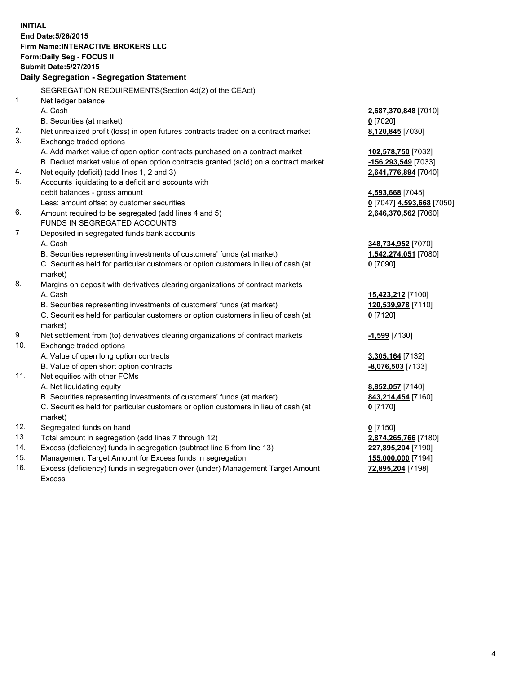**INITIAL End Date:5/26/2015 Firm Name:INTERACTIVE BROKERS LLC Form:Daily Seg - FOCUS II Submit Date:5/27/2015 Daily Segregation - Segregation Statement** SEGREGATION REQUIREMENTS(Section 4d(2) of the CEAct) 1. Net ledger balance A. Cash **2,687,370,848** [7010] B. Securities (at market) **0** [7020] 2. Net unrealized profit (loss) in open futures contracts traded on a contract market **8,120,845** [7030] 3. Exchange traded options A. Add market value of open option contracts purchased on a contract market **102,578,750** [7032] B. Deduct market value of open option contracts granted (sold) on a contract market **-156,293,549** [7033] 4. Net equity (deficit) (add lines 1, 2 and 3) **2,641,776,894** [7040] 5. Accounts liquidating to a deficit and accounts with debit balances - gross amount **4,593,668** [7045] Less: amount offset by customer securities **0** [7047] **4,593,668** [7050] 6. Amount required to be segregated (add lines 4 and 5) **2,646,370,562** [7060] FUNDS IN SEGREGATED ACCOUNTS 7. Deposited in segregated funds bank accounts A. Cash **348,734,952** [7070] B. Securities representing investments of customers' funds (at market) **1,542,274,051** [7080] C. Securities held for particular customers or option customers in lieu of cash (at market) **0** [7090] 8. Margins on deposit with derivatives clearing organizations of contract markets A. Cash **15,423,212** [7100] B. Securities representing investments of customers' funds (at market) **120,539,978** [7110] C. Securities held for particular customers or option customers in lieu of cash (at market) **0** [7120] 9. Net settlement from (to) derivatives clearing organizations of contract markets **-1,599** [7130] 10. Exchange traded options A. Value of open long option contracts **3,305,164** [7132] B. Value of open short option contracts **-8,076,503** [7133] 11. Net equities with other FCMs A. Net liquidating equity **8,852,057** [7140] B. Securities representing investments of customers' funds (at market) **843,214,454** [7160] C. Securities held for particular customers or option customers in lieu of cash (at market) **0** [7170] 12. Segregated funds on hand **0** [7150] 13. Total amount in segregation (add lines 7 through 12) **2,874,265,766** [7180] 14. Excess (deficiency) funds in segregation (subtract line 6 from line 13) **227,895,204** [7190] 15. Management Target Amount for Excess funds in segregation **155,000,000** [7194]

16. Excess (deficiency) funds in segregation over (under) Management Target Amount Excess

**72,895,204** [7198]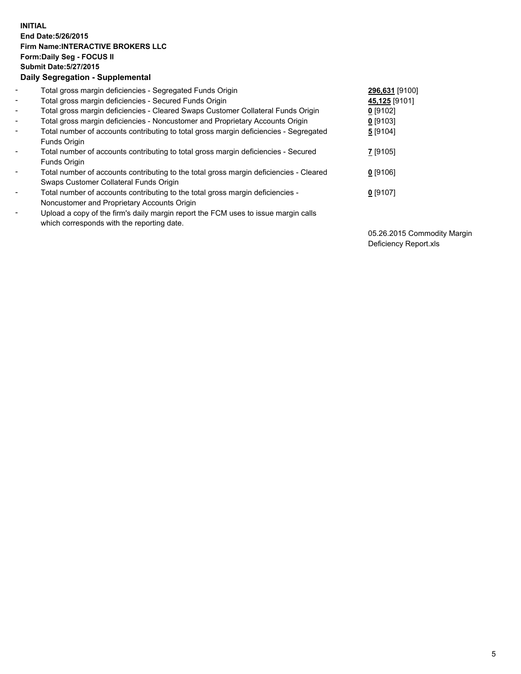## **INITIAL End Date:5/26/2015 Firm Name:INTERACTIVE BROKERS LLC Form:Daily Seg - FOCUS II Submit Date:5/27/2015 Daily Segregation - Supplemental**

| $\blacksquare$           | Total gross margin deficiencies - Segregated Funds Origin                                                                        | 296,631 [9100] |
|--------------------------|----------------------------------------------------------------------------------------------------------------------------------|----------------|
| $\blacksquare$           | Total gross margin deficiencies - Secured Funds Origin                                                                           | 45,125 [9101]  |
| $\blacksquare$           | Total gross margin deficiencies - Cleared Swaps Customer Collateral Funds Origin                                                 | $0$ [9102]     |
| $\blacksquare$           | Total gross margin deficiencies - Noncustomer and Proprietary Accounts Origin                                                    | $0$ [9103]     |
| $\blacksquare$           | Total number of accounts contributing to total gross margin deficiencies - Segregated<br>Funds Origin                            | 5 [9104]       |
| $\blacksquare$           | Total number of accounts contributing to total gross margin deficiencies - Secured<br><b>Funds Origin</b>                        | 7 [9105]       |
| $\overline{\phantom{a}}$ | Total number of accounts contributing to the total gross margin deficiencies - Cleared<br>Swaps Customer Collateral Funds Origin | $0$ [9106]     |
| -                        | Total number of accounts contributing to the total gross margin deficiencies -<br>Noncustomer and Proprietary Accounts Origin    | $0$ [9107]     |
| $\blacksquare$           | Upload a copy of the firm's daily margin report the FCM uses to issue margin calls<br>which corresponds with the reporting date. |                |

05.26.2015 Commodity Margin Deficiency Report.xls